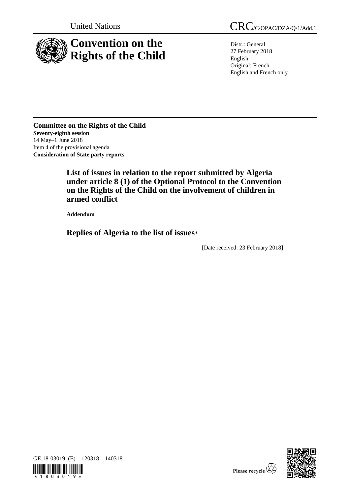

Distr.: General 27 February 2018 English Original: French English and French only

**Committee on the Rights of the Child Seventy-eighth session**  14 May–1 June 2018 Item 4 of the provisional agenda **Consideration of State party reports**

> **List of issues in relation to the report submitted by Algeria under article 8 (1) of the Optional Protocol to the Convention on the Rights of the Child on the involvement of children in armed conflict**

**Addendum**

**Replies of Algeria to the list of issues**\*

[Date received: 23 February 2018]



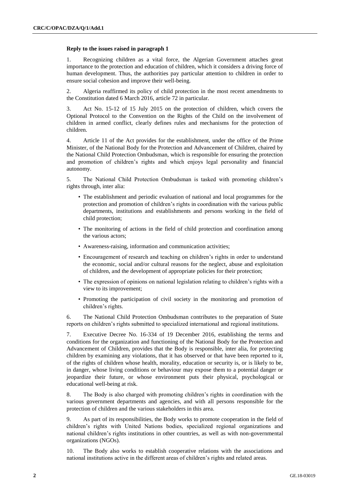# **Reply to the issues raised in paragraph 1**

1. Recognizing children as a vital force, the Algerian Government attaches great importance to the protection and education of children, which it considers a driving force of human development. Thus, the authorities pay particular attention to children in order to ensure social cohesion and improve their well-being.

2. Algeria reaffirmed its policy of child protection in the most recent amendments to the Constitution dated 6 March 2016, article 72 in particular.

3. Act No. 15-12 of 15 July 2015 on the protection of children, which covers the Optional Protocol to the Convention on the Rights of the Child on the involvement of children in armed conflict, clearly defines rules and mechanisms for the protection of children.

4. Article 11 of the Act provides for the establishment, under the office of the Prime Minister, of the National Body for the Protection and Advancement of Children, chaired by the National Child Protection Ombudsman, which is responsible for ensuring the protection and promotion of children's rights and which enjoys legal personality and financial autonomy.

5. The National Child Protection Ombudsman is tasked with promoting children's rights through, inter alia:

- The establishment and periodic evaluation of national and local programmes for the protection and promotion of children's rights in coordination with the various public departments, institutions and establishments and persons working in the field of child protection;
- The monitoring of actions in the field of child protection and coordination among the various actors;
- Awareness-raising, information and communication activities;
- Encouragement of research and teaching on children's rights in order to understand the economic, social and/or cultural reasons for the neglect, abuse and exploitation of children, and the development of appropriate policies for their protection;
- The expression of opinions on national legislation relating to children's rights with a view to its improvement;
- Promoting the participation of civil society in the monitoring and promotion of children's rights.

6. The National Child Protection Ombudsman contributes to the preparation of State reports on children's rights submitted to specialized international and regional institutions.

7. Executive Decree No. 16-334 of 19 December 2016, establishing the terms and conditions for the organization and functioning of the National Body for the Protection and Advancement of Children, provides that the Body is responsible, inter alia, for protecting children by examining any violations, that it has observed or that have been reported to it, of the rights of children whose health, morality, education or security is, or is likely to be, in danger, whose living conditions or behaviour may expose them to a potential danger or jeopardize their future, or whose environment puts their physical, psychological or educational well-being at risk.

8. The Body is also charged with promoting children's rights in coordination with the various government departments and agencies, and with all persons responsible for the protection of children and the various stakeholders in this area.

9. As part of its responsibilities, the Body works to promote cooperation in the field of children's rights with United Nations bodies, specialized regional organizations and national children's rights institutions in other countries, as well as with non-governmental organizations (NGOs).

10. The Body also works to establish cooperative relations with the associations and national institutions active in the different areas of children's rights and related areas.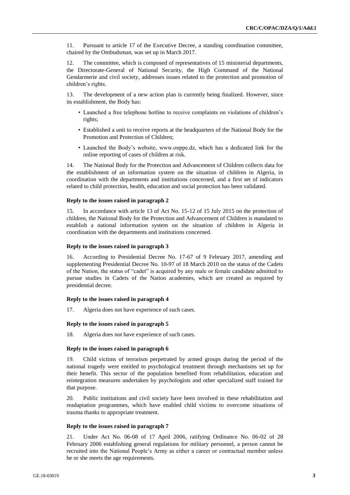11. Pursuant to article 17 of the Executive Decree, a standing coordination committee, chaired by the Ombudsman, was set up in March 2017.

12. The committee, which is composed of representatives of 15 ministerial departments, the Directorate-General of National Security, the High Command of the National Gendarmerie and civil society, addresses issues related to the protection and promotion of children's rights.

13. The development of a new action plan is currently being finalized. However, since its establishment, the Body has:

- Launched a free telephone hotline to receive complaints on violations of children's rights;
- Established a unit to receive reports at the headquarters of the National Body for the Promotion and Protection of Children;
- Launched the Body's website, www.onppe.dz, which has a dedicated link for the online reporting of cases of children at risk.

14. The National Body for the Protection and Advancement of Children collects data for the establishment of an information system on the situation of children in Algeria, in coordination with the departments and institutions concerned, and a first set of indicators related to child protection, health, education and social protection has been validated.

#### **Reply to the issues raised in paragraph 2**

15. In accordance with article 13 of Act No. 15-12 of 15 July 2015 on the protection of children, the National Body for the Protection and Advancement of Children is mandated to establish a national information system on the situation of children in Algeria in coordination with the departments and institutions concerned.

#### **Reply to the issues raised in paragraph 3**

16. According to Presidential Decree No. 17-67 of 9 February 2017, amending and supplementing Presidential Decree No. 10-97 of 18 March 2010 on the status of the Cadets of the Nation, the status of "cadet" is acquired by any male or female candidate admitted to pursue studies in Cadets of the Nation academies, which are created as required by presidential decree.

# **Reply to the issues raised in paragraph 4**

17. Algeria does not have experience of such cases.

# **Reply to the issues raised in paragraph 5**

18. Algeria does not have experience of such cases.

# **Reply to the issues raised in paragraph 6**

19. Child victims of terrorism perpetrated by armed groups during the period of the national tragedy were entitled to psychological treatment through mechanisms set up for their benefit. This sector of the population benefited from rehabilitation, education and reintegration measures undertaken by psychologists and other specialized staff trained for that purpose.

20. Public institutions and civil society have been involved in these rehabilitation and readaptation programmes, which have enabled child victims to overcome situations of trauma thanks to appropriate treatment.

### **Reply to the issues raised in paragraph 7**

21. Under Act No. 06-08 of 17 April 2006, ratifying Ordinance No. 06-02 of 28 February 2006 establishing general regulations for military personnel, a person cannot be recruited into the National People's Army as either a career or contractual member unless he or she meets the age requirements.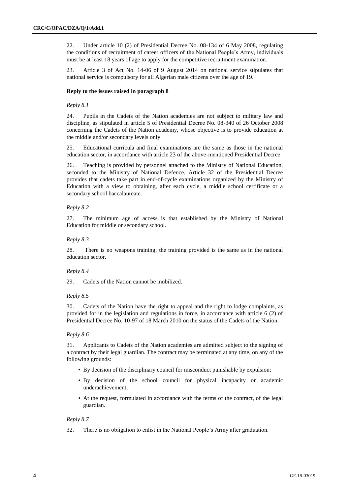22. Under article 10 (2) of Presidential Decree No. 08-134 of 6 May 2008, regulating the conditions of recruitment of career officers of the National People's Army, individuals must be at least 18 years of age to apply for the competitive recruitment examination.

23. Article 3 of Act No. 14-06 of 9 August 2014 on national service stipulates that national service is compulsory for all Algerian male citizens over the age of 19.

# **Reply to the issues raised in paragraph 8**

# *Reply 8.1*

24. Pupils in the Cadets of the Nation academies are not subject to military law and discipline, as stipulated in article 5 of Presidential Decree No. 08-340 of 26 October 2008 concerning the Cadets of the Nation academy, whose objective is to provide education at the middle and/or secondary levels only.

25. Educational curricula and final examinations are the same as those in the national education sector, in accordance with article 23 of the above-mentioned Presidential Decree.

26. Teaching is provided by personnel attached to the Ministry of National Education, seconded to the Ministry of National Defence. Article 32 of the Presidential Decree provides that cadets take part in end-of-cycle examinations organized by the Ministry of Education with a view to obtaining, after each cycle, a middle school certificate or a secondary school baccalaureate.

# *Reply 8.2*

27. The minimum age of access is that established by the Ministry of National Education for middle or secondary school.

# *Reply 8.3*

28. There is no weapons training; the training provided is the same as in the national education sector.

# *Reply 8.4*

29. Cadets of the Nation cannot be mobilized.

# *Reply 8.5*

30. Cadets of the Nation have the right to appeal and the right to lodge complaints, as provided for in the legislation and regulations in force, in accordance with article 6 (2) of Presidential Decree No. 10-97 of 18 March 2010 on the status of the Cadets of the Nation.

### *Reply 8.6*

31. Applicants to Cadets of the Nation academies are admitted subject to the signing of a contract by their legal guardian. The contract may be terminated at any time, on any of the following grounds:

- By decision of the disciplinary council for misconduct punishable by expulsion;
- By decision of the school council for physical incapacity or academic underachievement;
- At the request, formulated in accordance with the terms of the contract, of the legal guardian.

# *Reply 8.7*

32. There is no obligation to enlist in the National People's Army after graduation.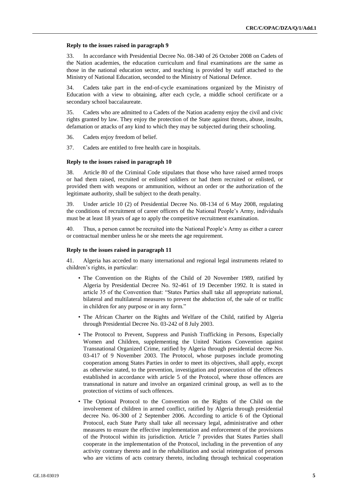#### **Reply to the issues raised in paragraph 9**

33. In accordance with Presidential Decree No. 08-340 of 26 October 2008 on Cadets of the Nation academies, the education curriculum and final examinations are the same as those in the national education sector, and teaching is provided by staff attached to the Ministry of National Education, seconded to the Ministry of National Defence.

34. Cadets take part in the end-of-cycle examinations organized by the Ministry of Education with a view to obtaining, after each cycle, a middle school certificate or a secondary school baccalaureate.

35. Cadets who are admitted to a Cadets of the Nation academy enjoy the civil and civic rights granted by law. They enjoy the protection of the State against threats, abuse, insults, defamation or attacks of any kind to which they may be subjected during their schooling.

36. Cadets enjoy freedom of belief.

37. Cadets are entitled to free health care in hospitals.

#### **Reply to the issues raised in paragraph 10**

38. Article 80 of the Criminal Code stipulates that those who have raised armed troops or had them raised, recruited or enlisted soldiers or had them recruited or enlisted, or provided them with weapons or ammunition, without an order or the authorization of the legitimate authority, shall be subject to the death penalty.

39. Under article 10 (2) of Presidential Decree No. 08-134 of 6 May 2008, regulating the conditions of recruitment of career officers of the National People's Army, individuals must be at least 18 years of age to apply the competitive recruitment examination.

40. Thus, a person cannot be recruited into the National People's Army as either a career or contractual member unless he or she meets the age requirement.

#### **Reply to the issues raised in paragraph 11**

41. Algeria has acceded to many international and regional legal instruments related to children's rights, in particular:

- The Convention on the Rights of the Child of 20 November 1989, ratified by Algeria by Presidential Decree No. 92-461 of 19 December 1992. It is stated in article 35 of the Convention that: "States Parties shall take all appropriate national, bilateral and multilateral measures to prevent the abduction of, the sale of or traffic in children for any purpose or in any form."
- The African Charter on the Rights and Welfare of the Child, ratified by Algeria through Presidential Decree No. 03-242 of 8 July 2003.
- The Protocol to Prevent, Suppress and Punish Trafficking in Persons, Especially Women and Children, supplementing the United Nations Convention against Transnational Organized Crime, ratified by Algeria through presidential decree No. 03-417 of 9 November 2003. The Protocol, whose purposes include promoting cooperation among States Parties in order to meet its objectives, shall apply, except as otherwise stated, to the prevention, investigation and prosecution of the offences established in accordance with article 5 of the Protocol, where those offences are transnational in nature and involve an organized criminal group, as well as to the protection of victims of such offences.
- The Optional Protocol to the Convention on the Rights of the Child on the involvement of children in armed conflict, ratified by Algeria through presidential decree No. 06-300 of 2 September 2006. According to article 6 of the Optional Protocol, each State Party shall take all necessary legal, administrative and other measures to ensure the effective implementation and enforcement of the provisions of the Protocol within its jurisdiction. Article 7 provides that States Parties shall cooperate in the implementation of the Protocol, including in the prevention of any activity contrary thereto and in the rehabilitation and social reintegration of persons who are victims of acts contrary thereto, including through technical cooperation